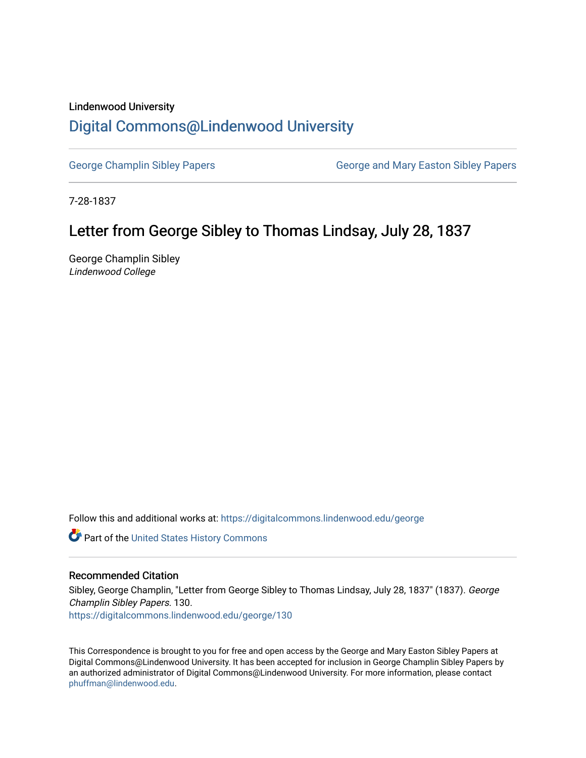## Lindenwood University

## [Digital Commons@Lindenwood University](https://digitalcommons.lindenwood.edu/)

[George Champlin Sibley Papers](https://digitalcommons.lindenwood.edu/george) George and Mary Easton Sibley Papers

7-28-1837

# Letter from George Sibley to Thomas Lindsay, July 28, 1837

George Champlin Sibley Lindenwood College

Follow this and additional works at: [https://digitalcommons.lindenwood.edu/george](https://digitalcommons.lindenwood.edu/george?utm_source=digitalcommons.lindenwood.edu%2Fgeorge%2F130&utm_medium=PDF&utm_campaign=PDFCoverPages)

Part of the [United States History Commons](http://network.bepress.com/hgg/discipline/495?utm_source=digitalcommons.lindenwood.edu%2Fgeorge%2F130&utm_medium=PDF&utm_campaign=PDFCoverPages) 

### Recommended Citation

Sibley, George Champlin, "Letter from George Sibley to Thomas Lindsay, July 28, 1837" (1837). George Champlin Sibley Papers. 130. [https://digitalcommons.lindenwood.edu/george/130](https://digitalcommons.lindenwood.edu/george/130?utm_source=digitalcommons.lindenwood.edu%2Fgeorge%2F130&utm_medium=PDF&utm_campaign=PDFCoverPages)

This Correspondence is brought to you for free and open access by the George and Mary Easton Sibley Papers at Digital Commons@Lindenwood University. It has been accepted for inclusion in George Champlin Sibley Papers by an authorized administrator of Digital Commons@Lindenwood University. For more information, please contact [phuffman@lindenwood.edu](mailto:phuffman@lindenwood.edu).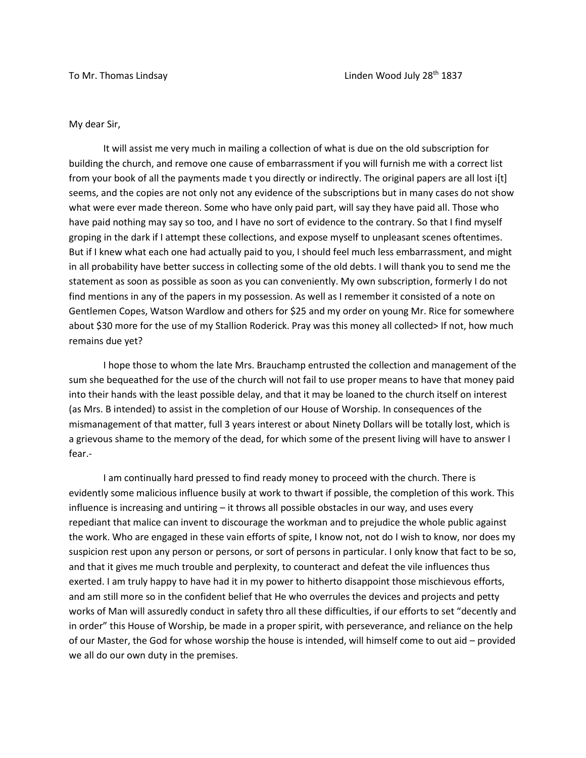#### My dear Sir,

It will assist me very much in mailing a collection of what is due on the old subscription for building the church, and remove one cause of embarrassment if you will furnish me with a correct list from your book of all the payments made t you directly or indirectly. The original papers are all lost i[t] seems, and the copies are not only not any evidence of the subscriptions but in many cases do not show what were ever made thereon. Some who have only paid part, will say they have paid all. Those who have paid nothing may say so too, and I have no sort of evidence to the contrary. So that I find myself groping in the dark if I attempt these collections, and expose myself to unpleasant scenes oftentimes. But if I knew what each one had actually paid to you, I should feel much less embarrassment, and might in all probability have better success in collecting some of the old debts. I will thank you to send me the statement as soon as possible as soon as you can conveniently. My own subscription, formerly I do not find mentions in any of the papers in my possession. As well as I remember it consisted of a note on Gentlemen Copes, Watson Wardlow and others for \$25 and my order on young Mr. Rice for somewhere about \$30 more for the use of my Stallion Roderick. Pray was this money all collected> If not, how much remains due yet?

I hope those to whom the late Mrs. Brauchamp entrusted the collection and management of the sum she bequeathed for the use of the church will not fail to use proper means to have that money paid into their hands with the least possible delay, and that it may be loaned to the church itself on interest (as Mrs. B intended) to assist in the completion of our House of Worship. In consequences of the mismanagement of that matter, full 3 years interest or about Ninety Dollars will be totally lost, which is a grievous shame to the memory of the dead, for which some of the present living will have to answer I fear.-

I am continually hard pressed to find ready money to proceed with the church. There is evidently some malicious influence busily at work to thwart if possible, the completion of this work. This influence is increasing and untiring – it throws all possible obstacles in our way, and uses every repediant that malice can invent to discourage the workman and to prejudice the whole public against the work. Who are engaged in these vain efforts of spite, I know not, not do I wish to know, nor does my suspicion rest upon any person or persons, or sort of persons in particular. I only know that fact to be so, and that it gives me much trouble and perplexity, to counteract and defeat the vile influences thus exerted. I am truly happy to have had it in my power to hitherto disappoint those mischievous efforts, and am still more so in the confident belief that He who overrules the devices and projects and petty works of Man will assuredly conduct in safety thro all these difficulties, if our efforts to set "decently and in order" this House of Worship, be made in a proper spirit, with perseverance, and reliance on the help of our Master, the God for whose worship the house is intended, will himself come to out aid – provided we all do our own duty in the premises.